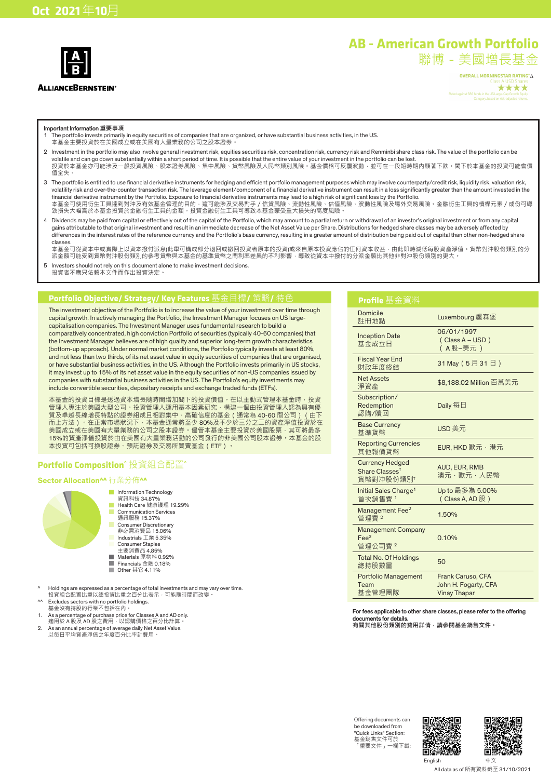

#### **ALLIANCEBERNSTEIN®**

**AB - American Growth Portfolio**

聯博-美國增長基金

OVERALL MORNINGSTAR RATING™∆ \*\*\*\*

Important Information **重要事項**

- 1 The portfolio invests primarily in equity securities of companies that are organized, or have substantial business activities, in the US. 本基金主要投資於在美國成立或在美國有大量業務的公司之股本證券。
- 2 Investment in the portfolio may also involve general investment risk, equities securities risk, concentration risk, currency risk and Renminbi share class risk. The value of the portfolio can be volatile and can go down substantially within a short period of time. It is possible that the entire value of your investment in the portfolio can be lost. 投資於本基金亦可能涉及一般投資風險、股本證券風險、集中風險、貨幣風險及人民幣類別風險。基金價格可反覆波動,並可在一段短時期內顯著下跌。閣下於本基金的投資可能會價 值全失。
- 3 The portfolio is entitled to use financial derivative instruments for hedging and efficient portfolio management purposes which may involve counterparty/credit risk, liquidity risk, valuation risk, volatility risk and over-the-counter transaction risk. The leverage element/component of a financial derivative instrument can result in a loss significantly greater than the amount invested in the financial derivative instrument by the Portfolio. Exposure to financial derivative instruments may lead to a high risk of significant loss by the Portfolio. 本基金可使用衍生工具達到對沖及有效基金管理的目的<sup>,</sup>這可能涉及交易對手 / 信貸風險<sup>、</sup>流動性風險、估值風險、波動性風險及場外交易風險。金融衍生工具的槓桿元素 / 成份可導 致損失大幅高於本基金投資於金融衍生工具的金額。投資金融衍生工具可導致本基金蒙受重大損失的高度風險。
- 4 Dividends may be paid from capital or effectively out of the capital of the Portfolio, which may amount to a partial return or withdrawal of an investor's original investment or from any capital gains attributable to that original investment and result in an immediate decrease of the Net Asset Value per Share. Distributions for hedged share classes may be adversely affected by differences in the interest rates of the reference currency and the Portfolio's base currency, resulting in a greater amount of distribution being paid out of capital than other non-hedged share classes.
- 本基金可從資本中或實際上以資本撥付派息(此舉可構成部分退回或撤回投資者原本的投資)或來自原本投資應佔的任何資本收益,由此即時減低每股資產淨值。貨幣對沖股份類別的分 派金額可能受到貨幣對沖股份類別的參考貨幣與本基金的基準貨幣之間利率差異的不利影響,導致從資本中撥付的分派金額比其他非對沖股份類別的更大。
- 5 Investors should not rely on this document alone to make investment decisions. 投資者不應只依賴本文件而作出投資決定。

### **Portfolio Objective/ Strategy/ Key Features** 基金目標**/** 策略**/** 特色

The investment objective of the Portfolio is to increase the value of your investment over time through capital growth. In actively managing the Portfolio, the Investment Manager focuses on US largecapitalisation companies. The Investment Manager uses fundamental research to build a comparatively concentrated, high conviction Portfolio of securities (typically 40-60 companies) that the Investment Manager believes are of high quality and superior long-term growth characteristics (bottom-up approach). Under normal market conditions, the Portfolio typically invests at least 80%, and not less than two thirds, of its net asset value in equity securities of companies that are organised, or have substantial business activities, in the US. Although the Portfolio invests primarily in US stocks, it may invest up to 15% of its net asset value in the equity securities of non-US companies issued by companies with substantial business activities in the US. The Portfolio's equity investments may include convertible securities, depositary receipts and exchange traded funds (ETFs).

本基金的投資目標是透過資本增長隨時間增加閣下的投資價值。在以主動式管理本基金時,投資 管理人專注於美國大型公司。投資管理人運用基本因素研究,構建一個由投資管理人認為具有優 質及卓越長線增長特點的證券組成且相對集中、高確信度的基金(通常為 40-60 間公司)(由下 而上方法)。在正常市場狀況下,本基金通常將至少 80%及不少於三分之二的資產淨值投資於在 美國成立或在美國有大量業務的公司之股本證券。儘管本基金主要投資於美國股票,其可將最多 15%的資產淨值投資於由在美國有大量業務活動的公司發行的非美國公司股本證券。本基金的股 本投資可包括可換股證券、預託證券及交易所買賣基金(ETF)。

### **Portfolio Composition^** 投資組合配置**^**

### **Sector Allocation^^** 行業分佈**^^**



- **Information Technology** 
	- 資訊科技 34.87% Health Care 健康護理 19.29%
	- Communication Services 通訊服務 15.37%
- Consumer Discretionary
- 非必需消費品 15.06% Industrials 工業 5.35%
- Consumer Staples
- 主要消費品 4.85%
- Materials 原物料 0.92% Π Financials 金融 0.18%
- Other 其它 4.11%
- ^ Holdings are expressed as a percentage of total investments and may vary over time. 投資組合配置比重以總投資比重之百分比表示,可能隨時間而改變。
- ^^ Excludes sectors with no portfolio holdings. 基金沒有持股的行業不包括在內。
- 
- 1. As a percentage of purchase price for Classes A and AD only.<br>適用於 A 股及 AD 股之費用 · 以認購價格之百分比計算 ·<br>2. As an annual percentage of average daily Net Asset Value.<br>以每日平均資產淨值之年度百分比率計費用 ·
- 
- 

#### **Profile** 基金資料 Domicile<br>註冊地點 Luxembourg 盧森堡 Inception Date 基金成立日 06/01/1997 (Class A – USD) ( A 股–美元 ) Fiscal Year End<br>財政年度終結 31 May (5月31日) Net Assets 淨資產 \$8,188.02 Million 百萬美元 Subscription/ Redemption 認購/贖回 Daily 每日 Base Currency **Base Currency USD** 美元<br>基準貨幣 Reporting Currencies<br>其他報價貨幣 EUR, HKD 歐元,港元 Currency Hedged Share Classes† 貨幣對冲股份類別† AUD, EUR, RMB 澳元,歐元,人民幣 Initial Sales Charge<sup>1</sup> 首次銷售費 <sup>1</sup> Up to 最多為 5.00% (Class A, AD 股) Management Fee<sup>2</sup> 管理費 <sup>2</sup> 1.50% Management Company Fee<sup>2</sup> 管理公司費 <sup>2</sup> 0.10% Total No. Of Holdings iotal No. Of Holdings 50<br>總持股數量 Portfolio Management Team 基金管理團隊 Frank Caruso, CFA John H. Fogarty, CFA Vinay Thapar

### For fees applicable to other share classes, please refer to the offering documents for deta

**有關其他股份類別的費用詳情,請參閱基金銷售文件。**

Offering documents can be downloaded from "Quick Links" Section: 基金銷售文件可於 「重要文件」一欄下載:



English